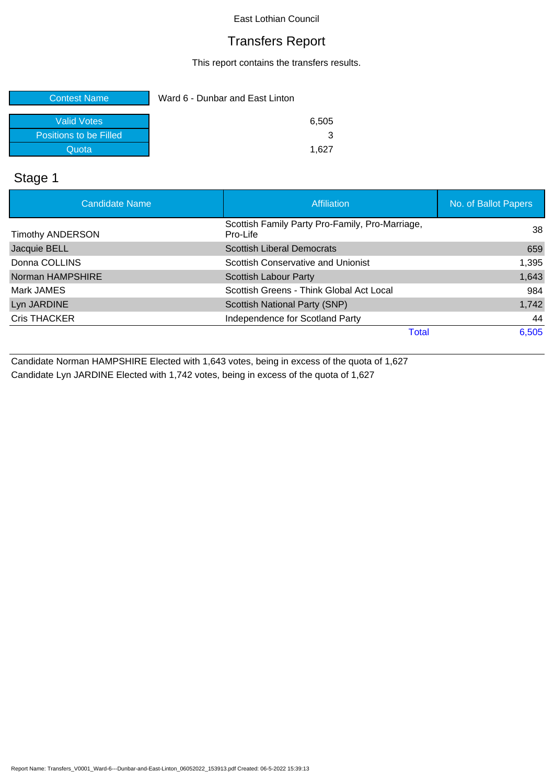#### Transfers Report

This report contains the transfers results.

| Contest Name <sup>®</sup> | Ward 6 - Dunbar and East Linton |       |
|---------------------------|---------------------------------|-------|
| <b>Valid Votes</b>        |                                 | 6,505 |
| Positions to be Filled    |                                 |       |
| Quota                     |                                 | 1.627 |

# Stage 1

| <b>Candidate Name</b>   | Affiliation                                                 | No. of Ballot Papers |
|-------------------------|-------------------------------------------------------------|----------------------|
| <b>Timothy ANDERSON</b> | Scottish Family Party Pro-Family, Pro-Marriage,<br>Pro-Life | 38                   |
| Jacquie BELL            | <b>Scottish Liberal Democrats</b>                           | 659                  |
| Donna COLLINS           | <b>Scottish Conservative and Unionist</b>                   | 1,395                |
| Norman HAMPSHIRE        | <b>Scottish Labour Party</b>                                | 1,643                |
| Mark JAMES              | Scottish Greens - Think Global Act Local                    | 984                  |
| Lyn JARDINE             | Scottish National Party (SNP)                               | 1,742                |
| Cris THACKER            | Independence for Scotland Party                             | 44                   |
|                         | Total                                                       | 6,505                |

Candidate Norman HAMPSHIRE Elected with 1,643 votes, being in excess of the quota of 1,627 Candidate Lyn JARDINE Elected with 1,742 votes, being in excess of the quota of 1,627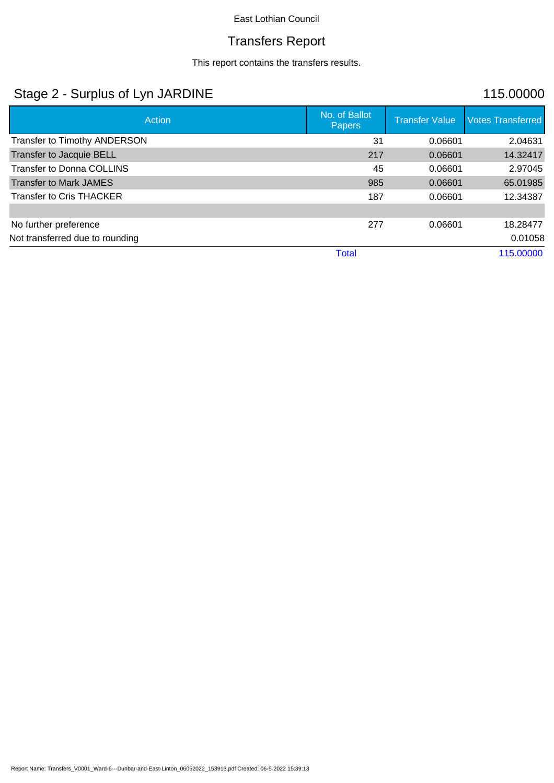# Transfers Report

This report contains the transfers results.

# Stage 2 - Surplus of Lyn JARDINE 115.00000

| Action                              | No. of Ballot<br><b>Papers</b> | <b>Transfer Value</b> | <b>Votes Transferred</b> |
|-------------------------------------|--------------------------------|-----------------------|--------------------------|
| <b>Transfer to Timothy ANDERSON</b> | 31                             | 0.06601               | 2.04631                  |
| Transfer to Jacquie BELL            | 217                            | 0.06601               | 14.32417                 |
| <b>Transfer to Donna COLLINS</b>    | 45                             | 0.06601               | 2.97045                  |
| <b>Transfer to Mark JAMES</b>       | 985                            | 0.06601               | 65.01985                 |
| <b>Transfer to Cris THACKER</b>     | 187                            | 0.06601               | 12.34387                 |
|                                     |                                |                       |                          |
| No further preference               | 277                            | 0.06601               | 18.28477                 |
| Not transferred due to rounding     |                                |                       | 0.01058                  |
|                                     | <b>Total</b>                   |                       | 115.00000                |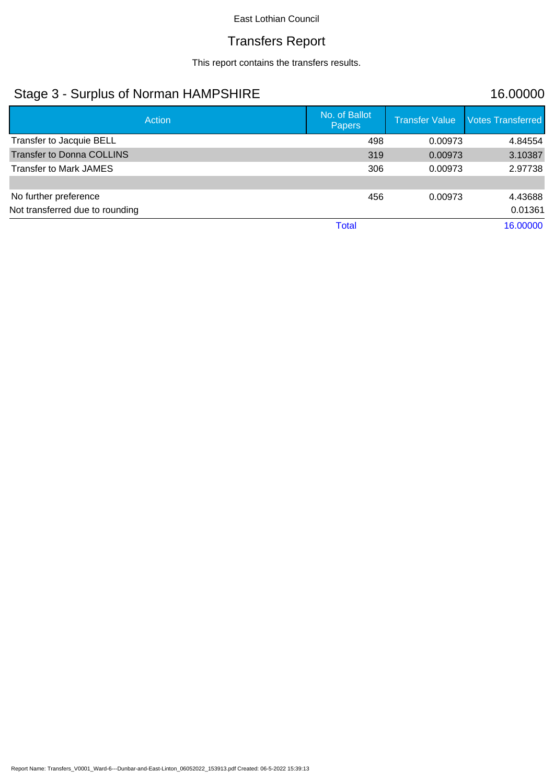# Transfers Report

This report contains the transfers results.

# Stage 3 - Surplus of Norman HAMPSHIRE 16.00000

| <b>Action</b>                    | No. of Ballot<br><b>Papers</b> | <b>Transfer Value</b> | <b>Votes Transferred</b> |
|----------------------------------|--------------------------------|-----------------------|--------------------------|
| Transfer to Jacquie BELL         | 498                            | 0.00973               | 4.84554                  |
| <b>Transfer to Donna COLLINS</b> | 319                            | 0.00973               | 3.10387                  |
| Transfer to Mark JAMES           | 306                            | 0.00973               | 2.97738                  |
|                                  |                                |                       |                          |
| No further preference            | 456                            | 0.00973               | 4.43688                  |
| Not transferred due to rounding  |                                |                       | 0.01361                  |
|                                  | Total                          |                       | 16.00000                 |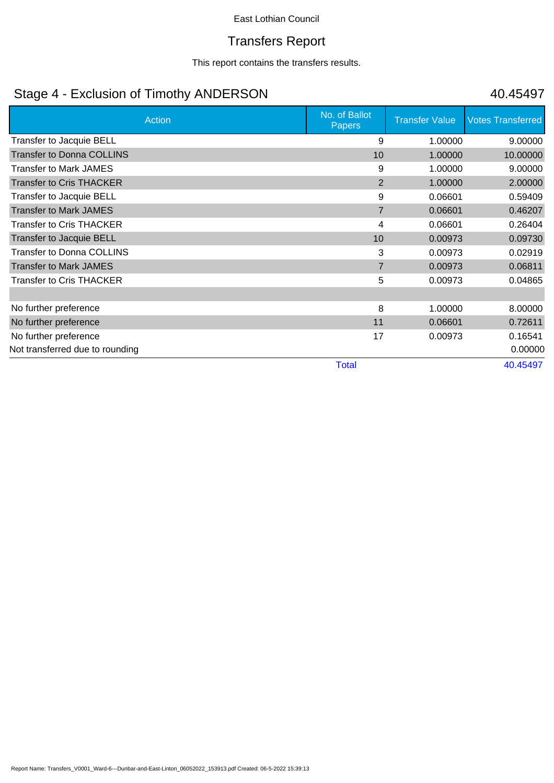#### Transfers Report

This report contains the transfers results.

# Stage 4 - Exclusion of Timothy ANDERSON 40.45497

| <b>Action</b>                    | No. of Ballot<br><b>Papers</b> | <b>Transfer Value</b> | <b>Votes Transferred</b> |
|----------------------------------|--------------------------------|-----------------------|--------------------------|
| Transfer to Jacquie BELL         | 9                              | 1.00000               | 9.00000                  |
| <b>Transfer to Donna COLLINS</b> | 10                             | 1.00000               | 10.00000                 |
| <b>Transfer to Mark JAMES</b>    | 9                              | 1.00000               | 9.00000                  |
| <b>Transfer to Cris THACKER</b>  | 2                              | 1.00000               | 2.00000                  |
| Transfer to Jacquie BELL         | 9                              | 0.06601               | 0.59409                  |
| <b>Transfer to Mark JAMES</b>    | $\overline{7}$                 | 0.06601               | 0.46207                  |
| <b>Transfer to Cris THACKER</b>  | 4                              | 0.06601               | 0.26404                  |
| Transfer to Jacquie BELL         | 10                             | 0.00973               | 0.09730                  |
| <b>Transfer to Donna COLLINS</b> | 3                              | 0.00973               | 0.02919                  |
| <b>Transfer to Mark JAMES</b>    | $\overline{7}$                 | 0.00973               | 0.06811                  |
| <b>Transfer to Cris THACKER</b>  | 5                              | 0.00973               | 0.04865                  |
|                                  |                                |                       |                          |
| No further preference            | 8                              | 1.00000               | 8.00000                  |
| No further preference            | 11                             | 0.06601               | 0.72611                  |
| No further preference            | 17                             | 0.00973               | 0.16541                  |
| Not transferred due to rounding  |                                |                       | 0.00000                  |
|                                  | <b>Total</b>                   |                       | 40.45497                 |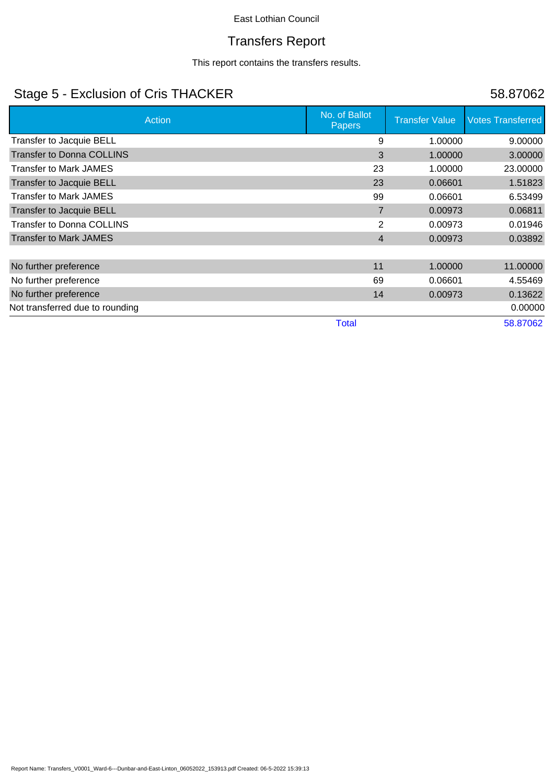# Transfers Report

This report contains the transfers results.

# Stage 5 - Exclusion of Cris THACKER 58.87062

| Action                           | No. of Ballot<br><b>Papers</b> | <b>Transfer Value</b> | <b>Votes Transferred</b> |
|----------------------------------|--------------------------------|-----------------------|--------------------------|
| Transfer to Jacquie BELL         | 9                              | 1.00000               | 9.00000                  |
| <b>Transfer to Donna COLLINS</b> | 3                              | 1.00000               | 3.00000                  |
| Transfer to Mark JAMES           | 23                             | 1.00000               | 23.00000                 |
| Transfer to Jacquie BELL         | 23                             | 0.06601               | 1.51823                  |
| <b>Transfer to Mark JAMES</b>    | 99                             | 0.06601               | 6.53499                  |
| Transfer to Jacquie BELL         | $\overline{7}$                 | 0.00973               | 0.06811                  |
| <b>Transfer to Donna COLLINS</b> | $\overline{2}$                 | 0.00973               | 0.01946                  |
| <b>Transfer to Mark JAMES</b>    | 4                              | 0.00973               | 0.03892                  |
|                                  |                                |                       |                          |
| No further preference            | 11                             | 1.00000               | 11.00000                 |
| No further preference            | 69                             | 0.06601               | 4.55469                  |
| No further preference            | 14                             | 0.00973               | 0.13622                  |
| Not transferred due to rounding  |                                |                       | 0.00000                  |
|                                  | <b>Total</b>                   |                       | 58.87062                 |